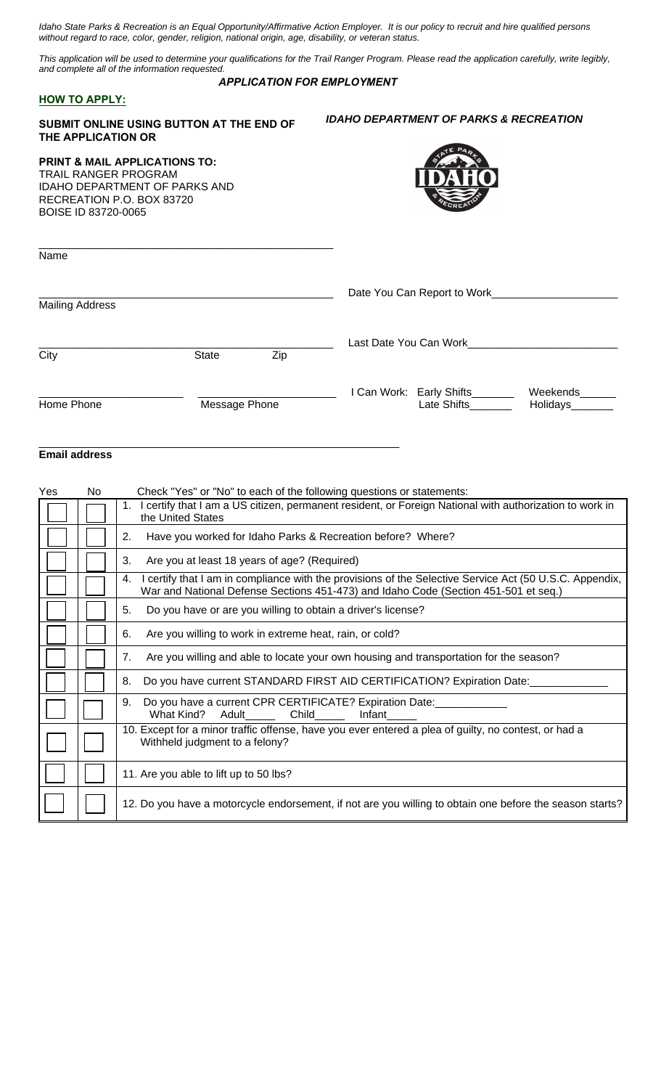*Idaho State Parks & Recreation is an Equal Opportunity/Affirmative Action Employer. It is our policy to recruit and hire qualified persons without regard to race, color, gender, religion, national origin, age, disability, or veteran status.* 

*This application will be used to determine your qualifications for the Trail Ranger Program. Please read the application carefully, write legibly, and complete all of the information requested.* 

#### *APPLICATION FOR EMPLOYMENT*

### **HOW TO APPLY:**

**SUBMIT ONLINE USING BUTTON AT THE END OF THE APPLICATION OR**

\_\_\_\_\_\_\_\_\_\_\_\_\_\_\_\_\_\_\_\_\_\_\_\_\_\_\_\_\_\_\_\_\_\_\_\_\_\_\_\_\_\_\_\_\_\_\_\_\_\_\_\_\_\_\_\_\_\_\_\_

# *IDAHO DEPARTMENT OF PARKS & RECREATION*

| <b>PRINT &amp; MAIL APPLICATIONS TO:</b><br><b>TRAIL RANGER PROGRAM</b><br><b>IDAHO DEPARTMENT OF PARKS AND</b><br>RECREATION P.O. BOX 83720<br>BOISE ID 83720-0065 |               |     | PA                                                                                     |
|---------------------------------------------------------------------------------------------------------------------------------------------------------------------|---------------|-----|----------------------------------------------------------------------------------------|
| Name                                                                                                                                                                |               |     |                                                                                        |
| <b>Mailing Address</b>                                                                                                                                              |               |     | Date You Can Report to Work_____                                                       |
| City                                                                                                                                                                | <b>State</b>  | Zip | Last Date You Can Work                                                                 |
| Home Phone                                                                                                                                                          | Message Phone |     | I Can Work: Early Shifts<br>Weekends<br>Late Shifts <b>Example</b><br>Holidays________ |

# **Email address**

| Yes | No | Check "Yes" or "No" to each of the following questions or statements:                                                                                                                              |  |  |
|-----|----|----------------------------------------------------------------------------------------------------------------------------------------------------------------------------------------------------|--|--|
|     |    | I certify that I am a US citizen, permanent resident, or Foreign National with authorization to work in<br>1.<br>the United States                                                                 |  |  |
|     |    | Have you worked for Idaho Parks & Recreation before? Where?<br>2.                                                                                                                                  |  |  |
|     |    | 3.<br>Are you at least 18 years of age? (Required)                                                                                                                                                 |  |  |
|     |    | certify that I am in compliance with the provisions of the Selective Service Act (50 U.S.C. Appendix,<br>4.<br>War and National Defense Sections 451-473) and Idaho Code (Section 451-501 et seq.) |  |  |
|     |    | Do you have or are you willing to obtain a driver's license?<br>5.                                                                                                                                 |  |  |
|     |    | Are you willing to work in extreme heat, rain, or cold?<br>6.                                                                                                                                      |  |  |
|     |    | Are you willing and able to locate your own housing and transportation for the season?<br>7.                                                                                                       |  |  |
|     |    | Do you have current STANDARD FIRST AID CERTIFICATION? Expiration Date:<br>8.                                                                                                                       |  |  |
|     |    | Do you have a current CPR CERTIFICATE? Expiration Date:<br>9.<br>What Kind? Adult______ Child_____<br>Infant                                                                                       |  |  |
|     |    | 10. Except for a minor traffic offense, have you ever entered a plea of guilty, no contest, or had a<br>Withheld judgment to a felony?                                                             |  |  |
|     |    | 11. Are you able to lift up to 50 lbs?                                                                                                                                                             |  |  |
|     |    | 12. Do you have a motorcycle endorsement, if not are you willing to obtain one before the season starts?                                                                                           |  |  |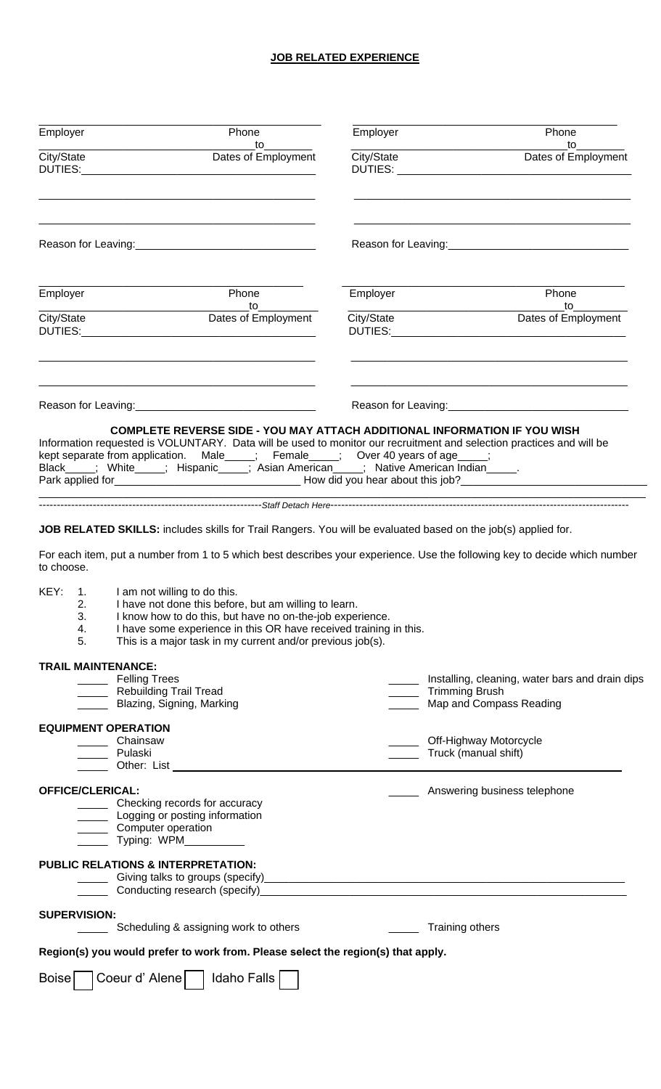# **JOB RELATED EXPERIENCE**

| Employer<br>Phone<br>to to the state of the state of the state of the state of the state of the state of the state of the state of the state of the state of the state of the state of the state of the state of the state of the state of the stat                                                                                 | Employer<br>Phone<br>to                                                                                                    |
|-------------------------------------------------------------------------------------------------------------------------------------------------------------------------------------------------------------------------------------------------------------------------------------------------------------------------------------|----------------------------------------------------------------------------------------------------------------------------|
| City/State<br>Dates of Employment<br>DUTIES:<br><u> 2000 - Jan James James James James James James James James James James James James James James James James J</u>                                                                                                                                                                | City/State<br>Dates of Employment                                                                                          |
|                                                                                                                                                                                                                                                                                                                                     |                                                                                                                            |
| Phone<br>Employer<br>to                                                                                                                                                                                                                                                                                                             | Employer<br>Phone<br>to                                                                                                    |
| City/State<br>Dates of Employment<br>DUTIES:<br><u> 1980 - Jan Barbarat, martin da shekara 1980 - Andrea Santana (</u>                                                                                                                                                                                                              | City/State<br>Dates of Employment                                                                                          |
|                                                                                                                                                                                                                                                                                                                                     | Reason for Leaving: Management Contains a series of the Reason for Leaving:                                                |
| Information requested is VOLUNTARY. Data will be used to monitor our recruitment and selection practices and will be<br>kept separate from application. Male____; Female____; Over 40 years of age____;<br>Black_____; White_____; Hispanic_____; Asian American_____; Native American Indian_____.                                 | <b>COMPLETE REVERSE SIDE - YOU MAY ATTACH ADDITIONAL INFORMATION IF YOU WISH</b>                                           |
|                                                                                                                                                                                                                                                                                                                                     |                                                                                                                            |
| to choose.<br>KEY: 1. I am not willing to do this.<br>2.<br>I have not done this before, but am willing to learn.<br>3.<br>I know how to do this, but have no on-the-job experience.<br>I have some experience in this OR have received training in this.<br>4.<br>This is a major task in my current and/or previous job(s).<br>5. | For each item, put a number from 1 to 5 which best describes your experience. Use the following key to decide which number |
| <b>TRAIL MAINTENANCE:</b><br>_______ Felling Trees<br>__ Rebuilding Trail Tread<br>Blazing, Signing, Marking                                                                                                                                                                                                                        | ____ Installing, cleaning, water bars and drain dips<br>Trimming Brush<br>Map and Compass Reading                          |
| <b>EQUIPMENT OPERATION</b><br>Chainsaw<br>_____ Pulaski                                                                                                                                                                                                                                                                             | Off-Highway Motorcycle<br>______ Truck (manual shift)                                                                      |
| <b>OFFICE/CLERICAL:</b><br>_____ Checking records for accuracy<br>Logging or posting information<br>__ Computer operation<br>__ Typing: WPM_________                                                                                                                                                                                | ____ Answering business telephone                                                                                          |
| <b>PUBLIC RELATIONS &amp; INTERPRETATION:</b>                                                                                                                                                                                                                                                                                       |                                                                                                                            |
| <b>SUPERVISION:</b><br>Scheduling & assigning work to others                                                                                                                                                                                                                                                                        | Training others                                                                                                            |
| Region(s) you would prefer to work from. Please select the region(s) that apply.                                                                                                                                                                                                                                                    |                                                                                                                            |
| Boise   Coeur d'Alene     Idaho Falls                                                                                                                                                                                                                                                                                               |                                                                                                                            |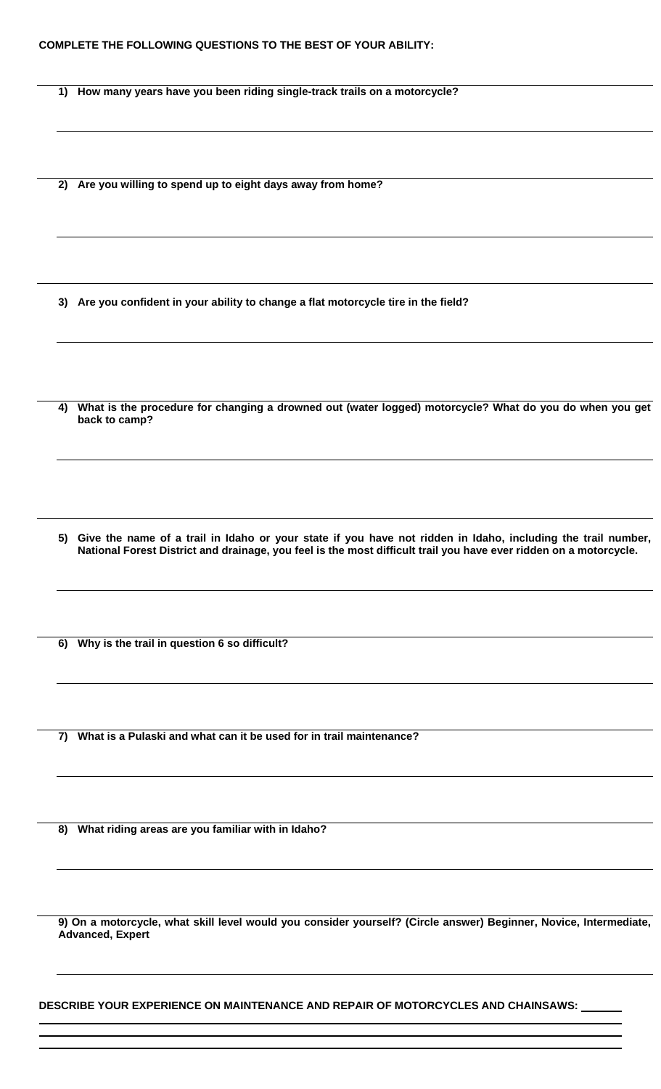**1) How many years have you been riding single-track trails on a motorcycle?** 

**2) Are you willing to spend up to eight days away from home?** 

**3) Are you confident in your ability to change a flat motorcycle tire in the field?** 

**4) What is the procedure for changing a drowned out (water logged) motorcycle? What do you do when you get back to camp?** 

**5) Give the name of a trail in Idaho or your state if you have not ridden in Idaho, including the trail number, National Forest District and drainage, you feel is the most difficult trail you have ever ridden on a motorcycle.** 

**6) Why is the trail in question 6 so difficult?** 

**7) What is a Pulaski and what can it be used for in trail maintenance?** 

**8) What riding areas are you familiar with in Idaho?** 

**9) On a motorcycle, what skill level would you consider yourself? (Circle answer) Beginner, Novice, Intermediate, Advanced, Expert** 

**DESCRIBE YOUR EXPERIENCE ON MAINTENANCE AND REPAIR OF MOTORCYCLES AND CHAINSAWS:**